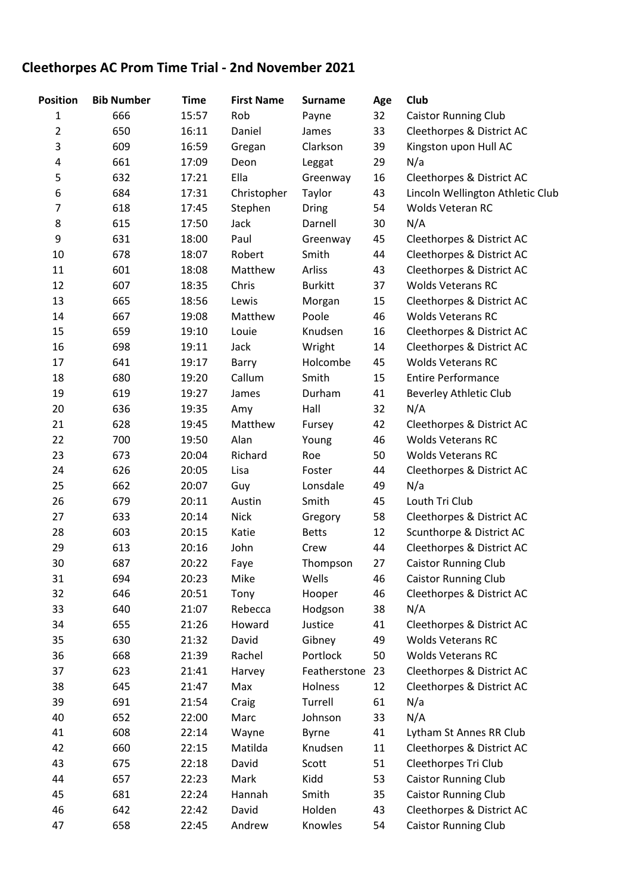## **Cleethorpes AC Prom Time Trial - 2nd November 2021**

| <b>Position</b> | <b>Bib Number</b> | <b>Time</b> | <b>First Name</b> | <b>Surname</b> | Age | Club                             |
|-----------------|-------------------|-------------|-------------------|----------------|-----|----------------------------------|
| 1               | 666               | 15:57       | Rob               | Payne          | 32  | <b>Caistor Running Club</b>      |
| $\overline{2}$  | 650               | 16:11       | Daniel            | James          | 33  | Cleethorpes & District AC        |
| 3               | 609               | 16:59       | Gregan            | Clarkson       | 39  | Kingston upon Hull AC            |
| 4               | 661               | 17:09       | Deon              | Leggat         | 29  | N/a                              |
| 5               | 632               | 17:21       | Ella              | Greenway       | 16  | Cleethorpes & District AC        |
| 6               | 684               | 17:31       | Christopher       | Taylor         | 43  | Lincoln Wellington Athletic Club |
| 7               | 618               | 17:45       | Stephen           | Dring          | 54  | Wolds Veteran RC                 |
| 8               | 615               | 17:50       | Jack              | Darnell        | 30  | N/A                              |
| 9               | 631               | 18:00       | Paul              | Greenway       | 45  | Cleethorpes & District AC        |
| 10              | 678               | 18:07       | Robert            | Smith          | 44  | Cleethorpes & District AC        |
| 11              | 601               | 18:08       | Matthew           | Arliss         | 43  | Cleethorpes & District AC        |
| 12              | 607               | 18:35       | Chris             | <b>Burkitt</b> | 37  | <b>Wolds Veterans RC</b>         |
| 13              | 665               | 18:56       | Lewis             | Morgan         | 15  | Cleethorpes & District AC        |
| 14              | 667               | 19:08       | Matthew           | Poole          | 46  | <b>Wolds Veterans RC</b>         |
| 15              | 659               | 19:10       | Louie             | Knudsen        | 16  | Cleethorpes & District AC        |
| 16              | 698               | 19:11       | Jack              | Wright         | 14  | Cleethorpes & District AC        |
| 17              | 641               | 19:17       | Barry             | Holcombe       | 45  | <b>Wolds Veterans RC</b>         |
| 18              | 680               | 19:20       | Callum            | Smith          | 15  | <b>Entire Performance</b>        |
| 19              | 619               | 19:27       | James             | Durham         | 41  | <b>Beverley Athletic Club</b>    |
| 20              | 636               | 19:35       | Amy               | Hall           | 32  | N/A                              |
| 21              | 628               | 19:45       | Matthew           | Fursey         | 42  | Cleethorpes & District AC        |
| 22              | 700               | 19:50       | Alan              | Young          | 46  | <b>Wolds Veterans RC</b>         |
| 23              | 673               | 20:04       | Richard           | Roe            | 50  | <b>Wolds Veterans RC</b>         |
| 24              | 626               | 20:05       | Lisa              | Foster         | 44  | Cleethorpes & District AC        |
| 25              | 662               | 20:07       | Guy               | Lonsdale       | 49  | N/a                              |
| 26              | 679               | 20:11       | Austin            | Smith          | 45  | Louth Tri Club                   |
| 27              | 633               | 20:14       | <b>Nick</b>       | Gregory        | 58  | Cleethorpes & District AC        |
| 28              | 603               | 20:15       | Katie             | <b>Betts</b>   | 12  | Scunthorpe & District AC         |
| 29              | 613               | 20:16       | John              | Crew           | 44  | Cleethorpes & District AC        |
| 30              | 687               | 20:22       | Faye              | Thompson       | 27  | <b>Caistor Running Club</b>      |
| 31              | 694               | 20:23       | Mike              | Wells          | 46  | <b>Caistor Running Club</b>      |
| 32              | 646               | 20:51       | Tony              | Hooper         | 46  | Cleethorpes & District AC        |
| 33              | 640               | 21:07       | Rebecca           | Hodgson        | 38  | N/A                              |
| 34              | 655               | 21:26       | Howard            | Justice        | 41  | Cleethorpes & District AC        |
| 35              | 630               | 21:32       | David             | Gibney         | 49  | <b>Wolds Veterans RC</b>         |
| 36              | 668               | 21:39       | Rachel            | Portlock       | 50  | <b>Wolds Veterans RC</b>         |
| 37              | 623               | 21:41       | Harvey            | Featherstone   | 23  | Cleethorpes & District AC        |
| 38              | 645               | 21:47       | Max               | Holness        | 12  | Cleethorpes & District AC        |
| 39              | 691               | 21:54       | Craig             | Turrell        | 61  | N/a                              |
| 40              | 652               | 22:00       | Marc              | Johnson        | 33  | N/A                              |
| 41              | 608               | 22:14       | Wayne             | <b>Byrne</b>   | 41  | Lytham St Annes RR Club          |
| 42              | 660               | 22:15       | Matilda           | Knudsen        | 11  | Cleethorpes & District AC        |
| 43              | 675               | 22:18       | David             | Scott          | 51  | Cleethorpes Tri Club             |
| 44              | 657               | 22:23       | Mark              | Kidd           | 53  | <b>Caistor Running Club</b>      |
| 45              | 681               | 22:24       | Hannah            | Smith          | 35  | <b>Caistor Running Club</b>      |
| 46              | 642               | 22:42       | David             | Holden         | 43  | Cleethorpes & District AC        |
| 47              | 658               | 22:45       | Andrew            | Knowles        | 54  | <b>Caistor Running Club</b>      |
|                 |                   |             |                   |                |     |                                  |